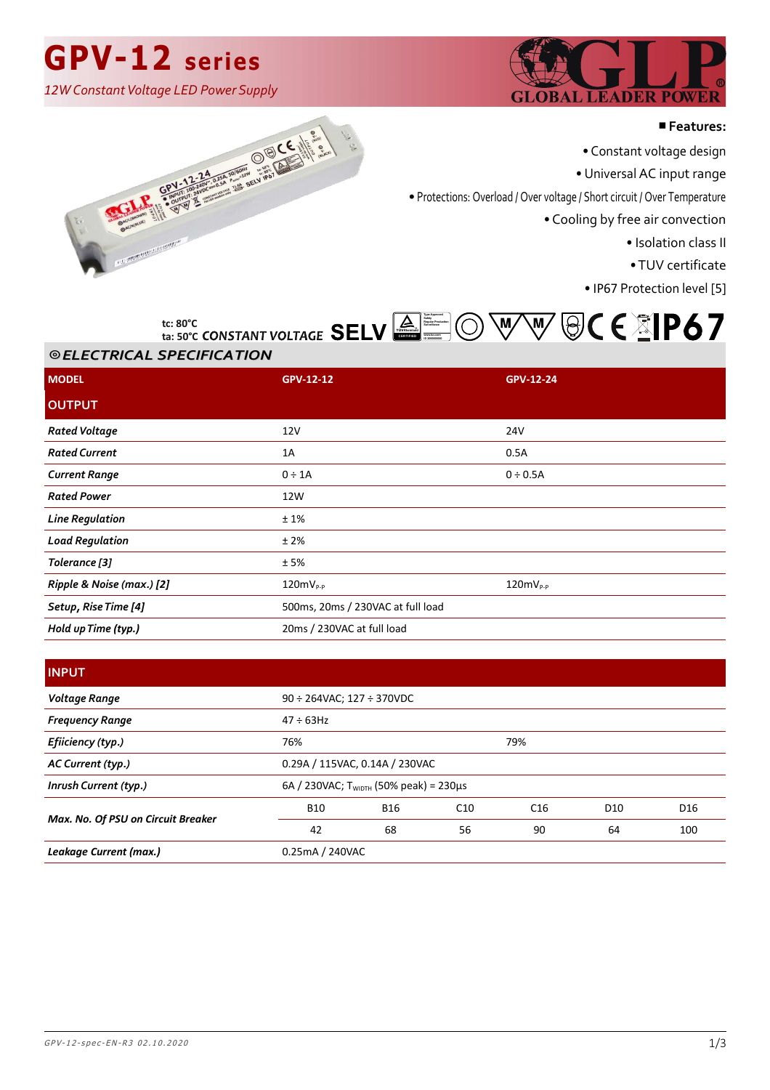## **GPV-12 series**

*12W Constant Voltage LED Power Supply*



#### ■**Features:**

• Constant voltage design

• Universal AC input range

• Protections: Overload / Over voltage / Short circuit / Over Temperature

• Cooling by free air convection

• Isolation class II

• TUV certificate

• IP67 Protection level [5]





#### ⦾ *ELECTRICAL SPECIFICATION ELECTRICAL SPECIFICATION* **ta: 50°C**

| <b>MODEL</b>              | <b>GPV-12-12</b>                  | GPV-12-24     |  |
|---------------------------|-----------------------------------|---------------|--|
| <b>OUTPUT</b>             |                                   |               |  |
| <b>Rated Voltage</b>      | 12V                               | 24V           |  |
| <b>Rated Current</b>      | 1A                                | 0.5A          |  |
| <b>Current Range</b>      | $0 \div 1A$                       | $0 \div 0.5A$ |  |
| <b>Rated Power</b>        | 12W                               |               |  |
| <b>Line Regulation</b>    | ±1%                               |               |  |
| <b>Load Regulation</b>    | ±2%                               |               |  |
| Tolerance [3]             | ±5%                               |               |  |
| Ripple & Noise (max.) [2] | $120mV_{P-P}$                     | $120mV_{P-P}$ |  |
| Setup, Rise Time [4]      | 500ms, 20ms / 230VAC at full load |               |  |
| Hold up Time (typ.)       | 20ms / 230VAC at full load        |               |  |

### **INPUT**

| Voltage Range                      | $90 \div 264$ VAC; 127 $\div 370$ VDC |                                             |     |     |                 |                 |
|------------------------------------|---------------------------------------|---------------------------------------------|-----|-----|-----------------|-----------------|
| <b>Frequency Range</b>             | $47 \div 63$ Hz                       |                                             |     |     |                 |                 |
| Efiiciency (typ.)                  | 76%                                   |                                             |     | 79% |                 |                 |
| AC Current (typ.)                  |                                       | 0.29A / 115VAC, 0.14A / 230VAC              |     |     |                 |                 |
| Inrush Current (typ.)              |                                       | 6A / 230VAC; $T_{WIDTH}$ (50% peak) = 230µs |     |     |                 |                 |
| Max. No. Of PSU on Circuit Breaker | <b>B10</b>                            | <b>B16</b>                                  | C10 | C16 | D <sub>10</sub> | D <sub>16</sub> |
|                                    | 42                                    | 68                                          | 56  | 90  | 64              | 100             |
| Leakage Current (max.)             | 0.25mA / 240VAC                       |                                             |     |     |                 |                 |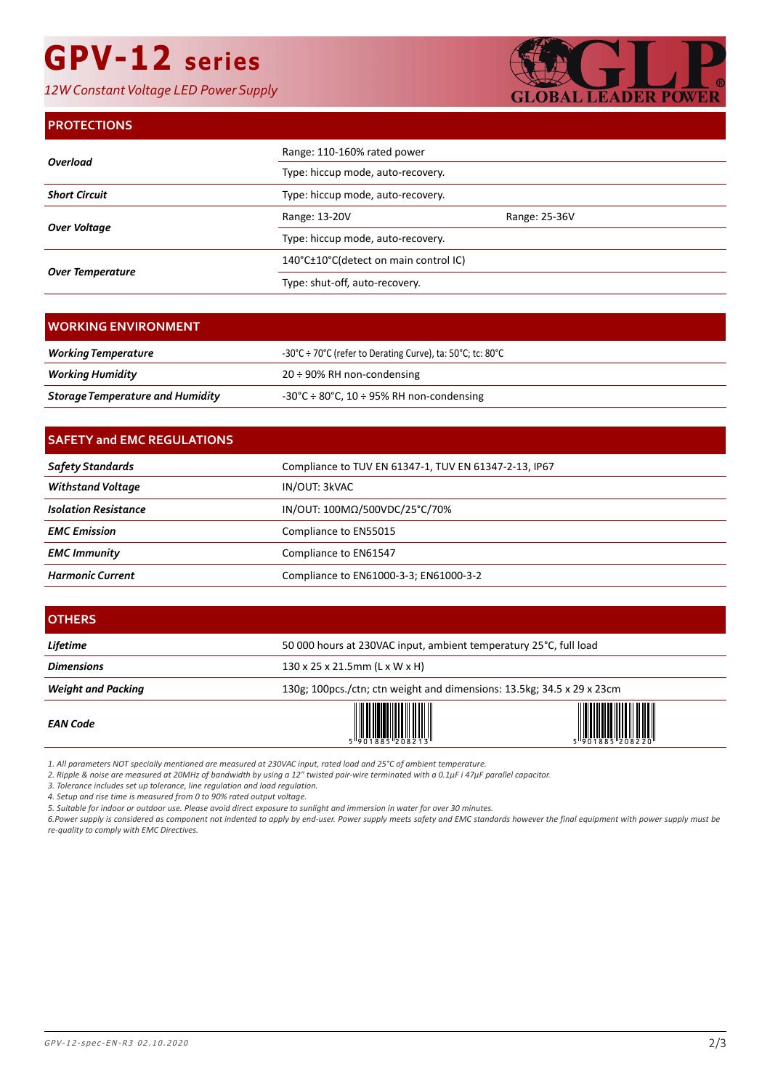# **GPV-12 series**

*12W Constant Voltage LED Power Supply*



### **PROTECTIONS**

| Overload                | Range: 110-160% rated power           |               |
|-------------------------|---------------------------------------|---------------|
|                         | Type: hiccup mode, auto-recovery.     |               |
| <b>Short Circuit</b>    | Type: hiccup mode, auto-recovery.     |               |
| Over Voltage            | Range: 13-20V                         | Range: 25-36V |
|                         | Type: hiccup mode, auto-recovery.     |               |
| <b>Over Temperature</b> | 140°C±10°C(detect on main control IC) |               |
|                         | Type: shut-off, auto-recovery.        |               |

| I WORKING ENVIRONMENT .                 |                                                               |
|-----------------------------------------|---------------------------------------------------------------|
| <b>Working Temperature</b>              | -30°C ÷ 70°C (refer to Derating Curve), ta: 50°C; tc: 80°C    |
| Working Humidity                        | $20 \div 90\%$ RH non-condensing                              |
| <b>Storage Temperature and Humidity</b> | $-30^{\circ}$ C ÷ 80 $^{\circ}$ C, 10 ÷ 95% RH non-condensing |

| <b>SAFETY and EMC REGULATIONS</b> |                                                       |  |
|-----------------------------------|-------------------------------------------------------|--|
| Safety Standards                  | Compliance to TUV EN 61347-1, TUV EN 61347-2-13, IP67 |  |
| <b>Withstand Voltage</b>          | IN/OUT: 3kVAC                                         |  |
| <b>Isolation Resistance</b>       | IN/OUT: 100ΜΩ/500VDC/25°C/70%                         |  |
| <b>EMC</b> Emission               | Compliance to EN55015                                 |  |
| <b>EMC Immunity</b>               | Compliance to EN61547                                 |  |
| <b>Harmonic Current</b>           | Compliance to EN61000-3-3; EN61000-3-2                |  |

| <b>OTHERS</b>             |                                                                        |  |  |
|---------------------------|------------------------------------------------------------------------|--|--|
| Lifetime                  | 50 000 hours at 230VAC input, ambient temperatury 25°C, full load      |  |  |
| <b>Dimensions</b>         | 130 x 25 x 21.5mm (L x W x H)                                          |  |  |
| <b>Weight and Packing</b> | 130g; 100pcs./ctn; ctn weight and dimensions: 13.5kg; 34.5 x 29 x 23cm |  |  |
| <b>EAN Code</b>           |                                                                        |  |  |

*1. All parameters NOT specially mentioned are measured at 230VAC input, rated load and 25°C of ambient temperature.*

*2. Ripple & noise are measured at 20MHz of bandwidth by using a 12" twisted pair-wire terminated with a 0.1μF i 47μF parallel capacitor.*

*3. Tolerance includes set up tolerance, line regulation and load regulation.*

*4. Setup and rise time is measured from 0 to 90% rated output voltage.*

*5. Suitable for indoor or outdoor use. Please avoid direct exposure to sunlight and immersion in water for over 30 minutes.*

*6.Power supply is considered as component not indented to apply by end-user. Power supply meets safety and EMC standards however the final equipment with power supply must be re-quality to comply with EMC Directives.*